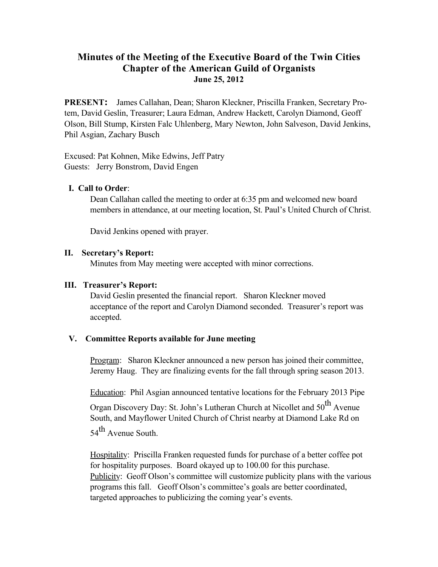# **Minutes of the Meeting of the Executive Board of the Twin Cities Chapter of the American Guild of Organists June 25, 2012**

**PRESENT:** James Callahan, Dean; Sharon Kleckner, Priscilla Franken, Secretary Protem, David Geslin, Treasurer; Laura Edman, Andrew Hackett, Carolyn Diamond, Geoff Olson, Bill Stump, Kirsten Falc Uhlenberg, Mary Newton, John Salveson, David Jenkins, Phil Asgian, Zachary Busch

Excused: Pat Kohnen, Mike Edwins, Jeff Patry Guests: Jerry Bonstrom, David Engen

# **I. Call to Order**:

Dean Callahan called the meeting to order at 6:35 pm and welcomed new board members in attendance, at our meeting location, St. Paul's United Church of Christ.

David Jenkins opened with prayer.

# **II. Secretary's Report:**

Minutes from May meeting were accepted with minor corrections.

### **III. Treasurer's Report:**

David Geslin presented the financial report. Sharon Kleckner moved acceptance of the report and Carolyn Diamond seconded. Treasurer's report was accepted.

# **V. Committee Reports available for June meeting**

Program: Sharon Kleckner announced a new person has joined their committee, Jeremy Haug. They are finalizing events for the fall through spring season 2013.

Education: Phil Asgian announced tentative locations for the February 2013 Pipe

Organ Discovery Day: St. John's Lutheran Church at Nicollet and  $50^{th}$  Avenue South, and Mayflower United Church of Christ nearby at Diamond Lake Rd on  $54$ <sup>th</sup> Avenue South.

Hospitality: Priscilla Franken requested funds for purchase of a better coffee pot for hospitality purposes. Board okayed up to 100.00 for this purchase. Publicity: Geoff Olson's committee will customize publicity plans with the various programs this fall. Geoff Olson's committee's goals are better coordinated, targeted approaches to publicizing the coming year's events.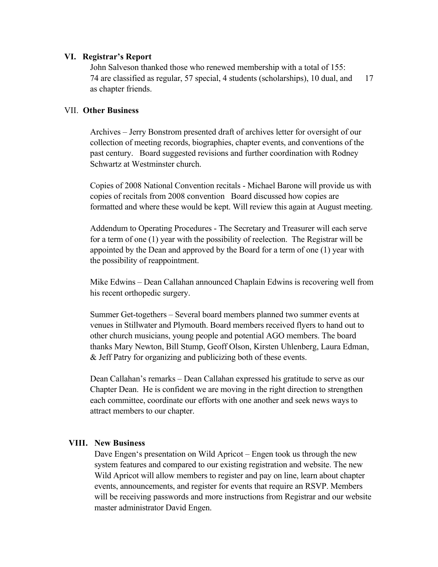#### **VI. Registrar's Report**

John Salveson thanked those who renewed membership with a total of 155: 74 are classified as regular, 57 special, 4 students (scholarships), 10 dual, and 17 as chapter friends.

# VII. **Other Business**

Archives – Jerry Bonstrom presented draft of archives letter for oversight of our collection of meeting records, biographies, chapter events, and conventions of the past century. Board suggested revisions and further coordination with Rodney Schwartz at Westminster church.

Copies of 2008 National Convention recitals - Michael Barone will provide us with copies of recitals from 2008 convention Board discussed how copies are formatted and where these would be kept. Will review this again at August meeting.

Addendum to Operating Procedures - The Secretary and Treasurer will each serve for a term of one (1) year with the possibility of reelection. The Registrar will be appointed by the Dean and approved by the Board for a term of one (1) year with the possibility of reappointment.

Mike Edwins – Dean Callahan announced Chaplain Edwins is recovering well from his recent orthopedic surgery.

Summer Get-togethers – Several board members planned two summer events at venues in Stillwater and Plymouth. Board members received flyers to hand out to other church musicians, young people and potential AGO members. The board thanks Mary Newton, Bill Stump, Geoff Olson, Kirsten Uhlenberg, Laura Edman, & Jeff Patry for organizing and publicizing both of these events.

Dean Callahan's remarks – Dean Callahan expressed his gratitude to serve as our Chapter Dean. He is confident we are moving in the right direction to strengthen each committee, coordinate our efforts with one another and seek news ways to attract members to our chapter.

### **VIII. New Business**

Dave Engen's presentation on Wild Apricot – Engen took us through the new system features and compared to our existing registration and website. The new Wild Apricot will allow members to register and pay on line, learn about chapter events, announcements, and register for events that require an RSVP. Members will be receiving passwords and more instructions from Registrar and our website master administrator David Engen.